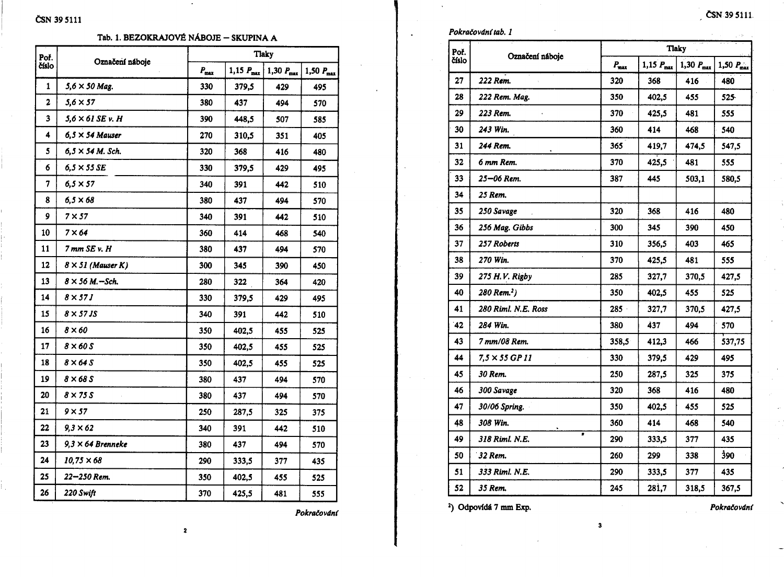| Poř.        | Označení náboje          |               |                         | <b>Tlaky</b>          |                       |
|-------------|--------------------------|---------------|-------------------------|-----------------------|-----------------------|
| číslo       |                          | $P_{\rm max}$ | $1,15$ $P_{\text{max}}$ | 1,30 $P_{\text{max}}$ | 1,50 $P_{\text{max}}$ |
| 1           | $5,6 \times 50$ Mag.     | 330           | 379,5                   | 429                   | 495                   |
| $\mathbf 2$ | $5,6 \times 57$          | 380           | 437                     | 494                   | 570                   |
| 3           | $5,6 \times 61$ SE v. H  | 390           | 448,5                   | 507                   | 585                   |
| 4           | $6,5 \times 54$ Mauser   | 270           | 310,5                   | 351                   | 405                   |
| 5           | $6.5 \times 54$ M. Sch.  | 320           | 368                     | 416                   | 480                   |
| 6           | $6.5 \times 55$ SE       | 330           | 379,5                   | 429                   | 495                   |
| 7           | $6,5 \times 57$          | 340           | 391                     | 442                   | 510                   |
| 8           | $6,5 \times 68$          | 380           | 437                     | 494                   | 570                   |
| 9           | 7 × 57                   | 340           | 391                     | 442                   | 510                   |
| 10          | $7 \times 64$            | 360           | 414                     | 468                   | 540                   |
| 11          | 7 mm SE v. H             | 380           | 437                     | 494                   | 570                   |
| 12          | $8 \times 51$ (Mauser K) | 300           | 345                     | 390                   | 450                   |
| 13          | $8 \times 56$ M. - Sch.  | 280           | 322                     | 364                   | 420                   |
| 14          | $8 \times 57J$           | 330           | 379,5                   | 429                   | 495                   |
| 15          | 8 × 57 JS                | 340           | 391                     | 442                   | 510                   |
| 16          | $8 \times 60$            | 350           | 402,5                   | 455                   | 525                   |
| 17          | $8 \times 60S$           | 350           | 402,5                   | 455                   | 525                   |
| 18          | $8 \times 64S$           | 350           | 402,5                   | 455                   | 525                   |
| 19          | $8 \times 68S$           | 380           | 437                     | 494                   | 570                   |
| 20          | $8 \times 75S$           | 380           | 437                     | 494                   | 570                   |
| 21          | $9 \times 57$            | 250           | 287,5                   | 325                   | 375                   |
| 22          | $9.3 \times 62$          | 340           | 391                     | 442                   | 510                   |
| 23          | $9,3 \times 64$ Brenneke | 380           | 437                     | 494                   | 570                   |
| 24          | $10,75 \times 68$        | 290           | 333,5                   | 377                   | 435                   |
| 25          | 22—250 Rem.              | 350           | 402,5                   | 455                   | 525                   |
| 26          | 220 Swift                | 370           | 425,5                   | 481                   | 555                   |

Pokračování

Pokračování i

Poř.<br>Číslo

|                                 |            |                  | <b>Tlaky</b>          |                       |
|---------------------------------|------------|------------------|-----------------------|-----------------------|
| ování tab. 1<br>Označení náboje | $P_{\max}$ | $1,15$ $P_{max}$ | $1,30 P_{\text{max}}$ | $1,50 P_{\text{max}}$ |
| 222 Rem.                        | 320        | 368              | 416                   | 480                   |
| 222 Rem. Mag.                   | 350        | 402,5            | 455                   | 525                   |
| 223 Rem.                        | 370        | 425,5            | 481                   | 555                   |
| 243 Win.                        | 360        | 414              | 468                   | 540                   |
| 244 Rem.                        | 365        | 419,7            | 474,5                 | 547,5                 |
| 6 mm Rem.                       | 370        | 425.5            | 481                   | 555                   |
| 25–06 Rem.                      | 387        | 445              | 503,1                 | 580.5                 |
| 25 Rem.                         |            |                  |                       |                       |
| 250 Savage                      | 320        | 368              | 416                   | 480                   |
| 256 Mag. Gibbs                  | 300        | 345              | 390                   | 450                   |
| 257 Roberts                     | 310        | 356,5            | 403                   | 465                   |
| 270 Win.                        | 370        | 425,5            | 481                   | 555                   |
| 275 H.V. Rigby                  | 285        | 327,7            | 370.5                 | 427.5                 |
| 280 Rem. <sup>2</sup> )         | 350        | 402,5            | 455                   | 525                   |
| 280 Riml. N.E. Ross             | 285 -      | 327,7            | 370,5                 | 427,5                 |
| 284 Win.                        | 380        | 437              | 494                   | 570                   |
| 7 mm/08 Rem.                    | 358,5      | 412,3            | 466                   | 537,75                |
| 7,5 × 55 GP 11                  | 330        | 379,5            | 429                   | 495                   |
| 30 Rem.                         | 250        | 287,5            | 325                   | 375                   |
| 300 Savage                      | 320        | 368              | 416                   | 480                   |
| 30/06 Spring.                   | 350        | 402.5            | 455                   | 525                   |
| 308 Win.                        | 360        | 414              | 468                   | 540                   |
| 318 Riml. N.E.                  | 290        | 333,5            | 377                   | 435                   |
| 32 Rem.                         | 260        | 299              | 338                   | <b>390</b>            |
| 333 Riml. N.E.                  | 290        | 333,5            | 377                   | 435                   |
| 35 Rem.                         | 245        | 281,7            | 318,5                 | 367,5                 |

 $\mathbf{3}$ 

<sup>2</sup>) Odpovídá 7 mm Exp.

Pokračování

ČSN 39 5111.

 $\overline{\mathbf{c}}$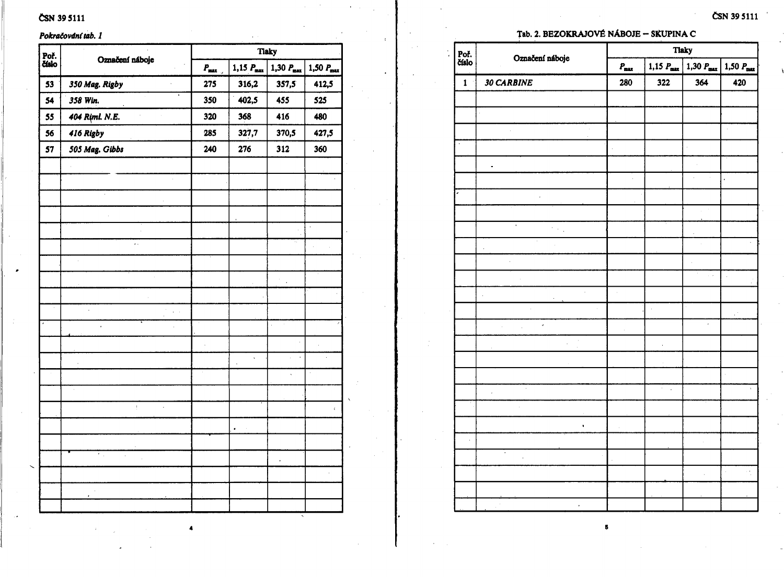## ČSN 39 5111

#### Pokračování tab. 1

| Poř.  | <b>Tlaky</b><br>Označení náboje |                  |                         |                       |                       |  |
|-------|---------------------------------|------------------|-------------------------|-----------------------|-----------------------|--|
| číslo |                                 | $P_{\text{max}}$ | $1,15$ $P_{\text{max}}$ | $1,30 P_{\text{max}}$ | $1,50 P_{\text{max}}$ |  |
| 53    | 350 Mag. Rigby                  | 275              | 316,2                   | 357,5                 | 412,5                 |  |
| 54    | 358 Win.                        | 350              | 402,5                   | 455                   | 525                   |  |
| 55    | 404 Riml. N.E.                  | 320              | 368                     | 416                   | 480                   |  |
| 56    | 416 Rigby                       | 285              | 327,7                   | 370,5                 | 427,5                 |  |
| 57    | 505 Mag. Gibbs                  | 240              | 276                     | 312                   | 360                   |  |
|       |                                 |                  |                         |                       |                       |  |
|       |                                 |                  |                         |                       |                       |  |
|       |                                 |                  |                         |                       |                       |  |
|       |                                 |                  |                         |                       |                       |  |
|       |                                 |                  |                         |                       |                       |  |
|       | Ϋ.                              |                  |                         |                       |                       |  |
|       |                                 |                  |                         |                       |                       |  |
|       |                                 |                  |                         |                       |                       |  |
|       |                                 |                  |                         |                       |                       |  |
|       | l,                              |                  |                         |                       |                       |  |
|       |                                 |                  |                         |                       |                       |  |
|       |                                 |                  |                         |                       |                       |  |
|       |                                 |                  |                         |                       |                       |  |
|       |                                 |                  |                         | $\ddot{\phantom{0}}$  |                       |  |
|       |                                 |                  |                         |                       |                       |  |
|       | ŧ<br>$\ddot{\phantom{0}}$       |                  |                         |                       | ¢.                    |  |
|       |                                 |                  | $\bullet$               |                       |                       |  |
|       |                                 |                  |                         |                       |                       |  |
|       | Ϋ.,<br>j,                       |                  |                         | j.                    |                       |  |
|       |                                 |                  |                         |                       |                       |  |
|       |                                 |                  |                         |                       |                       |  |
|       |                                 |                  |                         |                       |                       |  |

## ČSN 39 5111

#### Tab. 2. BEZOKRAJOVÉ NÁBOJE - SKUPINA C

|               | Označení náboje                 | <b>Tlaky</b>  |                       |                       |                          |  |
|---------------|---------------------------------|---------------|-----------------------|-----------------------|--------------------------|--|
| Poř.<br>číslo |                                 | $P_{\rm max}$ | 1,15 $P_{\text{max}}$ | 1,30 $P_{\text{max}}$ | 1,50 $P_{\text{max}}$    |  |
| $\mathbf{1}$  | 30 CARBINE                      | 280           | 322                   | 364                   | 420                      |  |
|               |                                 |               |                       |                       |                          |  |
|               |                                 |               |                       |                       |                          |  |
|               |                                 |               |                       |                       |                          |  |
|               |                                 | l,            |                       | l,                    |                          |  |
|               | $\centering \label{eq:reduced}$ |               |                       |                       |                          |  |
|               |                                 | ÷,            |                       | à.                    | $\overline{\phantom{a}}$ |  |
|               | l,                              |               |                       |                       |                          |  |
|               |                                 |               |                       |                       |                          |  |
|               | $\sim 10^7$                     |               |                       |                       |                          |  |
|               | $\epsilon$                      |               |                       |                       |                          |  |
|               | ,                               |               |                       |                       |                          |  |
|               |                                 |               |                       | $\bar{\nu}$ .         |                          |  |
|               | i,<br>J.                        | l,            |                       |                       |                          |  |
|               | J.                              |               | à,                    |                       |                          |  |
|               | è<br>l,<br>l,                   |               |                       | ł.                    |                          |  |
|               |                                 |               |                       |                       |                          |  |
|               |                                 |               | à.                    |                       |                          |  |
|               |                                 |               |                       |                       |                          |  |
|               | à.                              |               | Ŷ.<br>$\cdot$         |                       |                          |  |
|               |                                 |               |                       |                       |                          |  |
|               | $\blacksquare$                  |               |                       |                       |                          |  |
| à,            |                                 |               |                       |                       |                          |  |
|               | Τ<br>$\ddot{\phantom{0}}$       |               |                       |                       |                          |  |
|               |                                 |               |                       |                       | l,                       |  |
|               |                                 |               |                       |                       |                          |  |
|               | í.                              |               |                       |                       |                          |  |

 $\overline{\mathbf{5}}$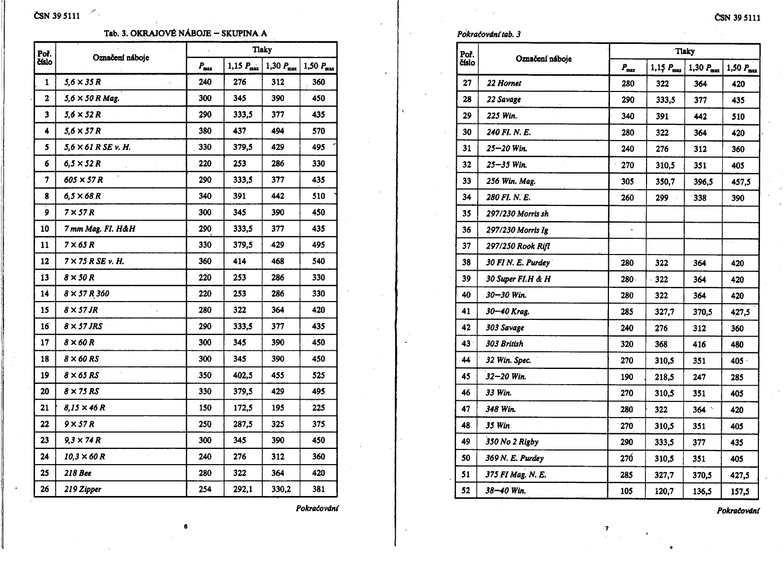# $\text{CSN}$  39 5111

#### Tab. 3. OKRAJOVÉ NÁBOJE - SKUPINA A

| Poř.            | Označení náboje          |                  | <b>Tlaky</b>          |                       |                |
|-----------------|--------------------------|------------------|-----------------------|-----------------------|----------------|
| číslo           |                          | $P_{\text{max}}$ | 1,15 $P_{\text{max}}$ | 1,30 $P_{\text{max}}$ | $1,50 P_{max}$ |
| 1               | $5,6 \times 35 R$<br>x,  | 240              | 276                   | 312                   | 360            |
| $\mathbf{z}$    | $5.6 \times 50 R$ Mag.   | 300              | 345                   | 390                   | 450            |
| 3               | 5,6 × 52 R               | 290              | 333,5                 | 377                   | 435            |
| 4               | $5.6 \times 57 R$        | 380              | 437                   | 494                   | 570            |
| 5               | 5,6 × 61 R SE v. H.      | 330              | 379,5                 | 429                   | 495            |
| 6               | $6,5 \times 52 R$        | 220              | 253                   | 286                   | 330            |
| 7               | 605 × 57 R               | 290              | 333,5                 | 377                   | 435            |
| 8               | $6,5 \times 68 R$        | 340              | 391                   | 442                   | 510            |
| 9               | $7 \times 57 R$          | 300              | 345                   | 390                   | 450            |
| 10              | 7 mm Mag. Fl. H&H        | 290              | 333,5                 | 377                   | 435            |
| 11              | $7 \times 65 R$          | 330              | 379,5                 | .429                  | 495            |
| 12              | $7 \times 75$ R SE v. H. | 360              | 414                   | 468                   | 540            |
| 13              | $8 \times 50 R$          | 220              | 253                   | 286                   | 330            |
| 14              | $8 \times 57 R 360$      | 220              | 253                   | 286                   | 330            |
| 15              | $8 \times 57$ JR         | 280              | 322                   | 364                   | 420            |
| 16 <sup>2</sup> | $8 \times 57$ JRS        | 290              | 333,5                 | 377                   | 435            |
| 17              | $8 \times 60 R$          | 300              | 345                   | 390                   | 450            |
| 18              | $8 \times 60$ RS         | 300              | 345                   | 390                   | 450            |
| 19              | $8 \times 65$ RS         | 350              | 402,5                 | 455                   | 525            |
| 20              | $8 \times 75$ RS         | 330              | 379,5                 | 429                   | 495            |
| 21              | 8,15 × 46 R              | 150              | 172,5                 | 195                   | 225            |
| 22              | $9 \times 57 R$          | 250              | 287,5                 | 325                   | 375            |
| 23              | $9.3 \times 74 R$        | 300              | 345                   | 390                   | 450            |
| 24              | $10.3 \times 60 R$       | 240              | 276                   | 312                   | 360            |
| 25              | <b>218 Bee</b>           | 280              | 322                   | 364                   | 420            |
| 26              | 219 Zipper               | 254              | 292,1                 | 330,2                 | 381            |
|                 |                          |                  |                       |                       |                |

 $\bf{6}$ 

Pokračování

#### Pokračování tab. 3

 $\ddot{\phantom{a}}$ 

| Poř.  | Označení náboje         |               |                | Tlaky                 |                       |  |
|-------|-------------------------|---------------|----------------|-----------------------|-----------------------|--|
| číslo |                         | $P_{\rm max}$ | $1,15 P_{max}$ | 1,30 $P_{\text{max}}$ | $1,50 P_{\text{max}}$ |  |
| 27    | 22 Hornet               | 280           | 322            | 364                   | 420                   |  |
| 28    | 22 Savage               | 290           | 333,5          | 377                   | 435                   |  |
| 29    | 225 Win.                | 340           | 391            | 442                   | 510                   |  |
| 30    | 240 FI. N. E.           | 280           | 322            | 364                   | 420                   |  |
| 31    | 25–20 Win.              | 240           | 276            | 312                   | 360                   |  |
| 32    | $\bar{z}$<br>25–35 Win. | 270           | 310,5          | 351                   | 405                   |  |
| 33    | 256 Win. Mag.           | 305           | 350,7          | 396,5                 | 457,5                 |  |
| 34    | 280 FI. N. E.           | 260           | 299            | 338                   | 390                   |  |
| 35    | 297/230 Morris sh       |               |                |                       |                       |  |
| 36    | 297/230 Morris Ig       | ù,            |                |                       |                       |  |
| 37    | 297/250 Rook Rifl       |               |                |                       |                       |  |
| 38    | 30 FIN. E. Purdey       | 280           | 322            | 364                   | 420                   |  |
| 39    | 30 Super FI.H & H       | 280           | 322            | 364                   | 420                   |  |
| 40    | 30–30 Win.              | 280           | 322            | 364                   | 420                   |  |
| 41    | 30–40 Krag.             | 285           | 327,7          | 370,5                 | 427,5                 |  |
| 42    | 303 Savage              | 240           | 276            | 312                   | 360                   |  |
| 43    | 303 British             | 320           | 368            | 416                   | 480                   |  |
| 44    | 32 Win. Spec.           | 270           | 310,5          | 351                   | 405 ·                 |  |
| 45    | 32–20 Win.              | 190           | 218,5          | 247                   | 285                   |  |
| 46    | 33 Win.                 | 270           | 310,5          | 351                   | 405                   |  |
| 47    | 348 Win.                | 280           | 322            | 364                   | 420                   |  |
| 48    | 35 Win                  | 270           | 310,5          | 351                   | 405                   |  |
| 49    | 350 No 2 Rigby          | 290           | 333,5          | 377                   | 435                   |  |
| 50    | 369 N. E. Purdey        | 270           | 310,5          | 351                   | 405                   |  |
| 51    | 375 FI Mag. N. E.       | 285           | 327,7          | 370,5                 | 427,5                 |  |
| 52    | 38–40 Win.              | 105           | 120,7          | 136,5                 | 157,5                 |  |

 $\overline{\mathbf{z}}$ 

 $\bullet$ 

Pokračování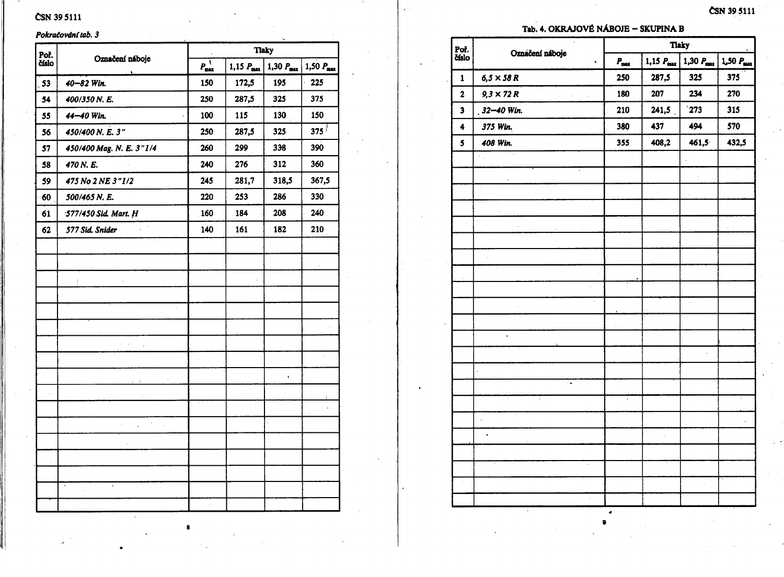## ČSN 39 5111

#### Pokračování tab. 3

| Poř.  | Označení náboje                                         | <b>Tlaky</b>     |                         |                       |                       |  |
|-------|---------------------------------------------------------|------------------|-------------------------|-----------------------|-----------------------|--|
| číslo | ٠                                                       | $P_{\text{max}}$ | $1,15$ $P_{\text{max}}$ | 1,30 $P_{\text{max}}$ | $1,50 P_{\text{max}}$ |  |
| 53    | 40-82 Win.                                              | 150              | 172,5                   | 195                   | 225                   |  |
| 54    | 400/350 N.E.                                            | 250              | 287,5                   | 325                   | 375                   |  |
| 55    | 44-40 Win.                                              | 100              | 115                     | 130                   | 150                   |  |
| 56    | 450/400 N. E. 3"                                        | 250              | 287,5                   | 325                   | $375^{\frac{1}{2}}$   |  |
| 57    | 450/400 Mag. N. E. 3"1/4                                | 260              | 299                     | 338                   | 390                   |  |
| 58    | 470 N.E.                                                | 240              | 276                     | 312                   | 360                   |  |
| 59    | 475 No 2 NE 3"1/2                                       | 245              | 281,7                   | 318,5                 | 367,5                 |  |
| 60    | 500/465 N. E.                                           | 220              | 253                     | 286                   | 330 <sup>°</sup>      |  |
| 61    | 577/450 Sid. Mart. H                                    | 160              | 184                     | 208                   | 240                   |  |
| 62    | 577 Sid. Snider                                         | 140              | 161                     | 182                   | 210                   |  |
|       |                                                         |                  |                         |                       |                       |  |
|       |                                                         |                  |                         |                       |                       |  |
|       | -1                                                      |                  |                         |                       |                       |  |
|       |                                                         |                  |                         |                       |                       |  |
|       |                                                         |                  |                         |                       |                       |  |
|       |                                                         |                  |                         |                       |                       |  |
|       |                                                         |                  |                         |                       |                       |  |
|       |                                                         |                  |                         |                       |                       |  |
|       |                                                         |                  |                         | ٠                     |                       |  |
|       |                                                         |                  |                         |                       |                       |  |
|       |                                                         |                  |                         |                       |                       |  |
|       | $\mathcal{L}^{\text{max}}$ , $\mathcal{L}^{\text{max}}$ |                  |                         | l,                    |                       |  |
|       |                                                         |                  |                         |                       |                       |  |
|       |                                                         |                  |                         |                       |                       |  |
|       |                                                         |                  |                         |                       |                       |  |
|       |                                                         |                  |                         |                       |                       |  |
|       |                                                         |                  |                         |                       |                       |  |

ČSN 39 5111

#### Tab. 4. OKRAJOVÉ NÁBOJE - SKUPINA B

| Poř.                    |                      | <b>Tlaky</b>         |                                                                    |       |                    |  |
|-------------------------|----------------------|----------------------|--------------------------------------------------------------------|-------|--------------------|--|
| číslo                   | Označení náboje      | $P_{\rm max}$        | $1,30 P_{max}$<br>1,50 P <sub>max</sub><br>$1,15$ $P_{\text{max}}$ |       |                    |  |
| $\mathbf{1}$            | $6,5 \times 58 R$    | 250                  | 287,5                                                              | 325   | 375                |  |
| $\overline{\mathbf{c}}$ | $9.3 \times 72 R$    | 180                  | 207                                                                | 234   | 270                |  |
| 3                       | $32 - 40$ Win.       | 210                  | 241,5                                                              | 273   | 315                |  |
| $\ddot{\phantom{a}}$    | 375 Win.             | 380                  | 437                                                                | 494   | 570                |  |
| 5                       | 408 Win.             | 355                  | 408,2                                                              | 461,5 | 432,5              |  |
|                         | 7.                   |                      |                                                                    |       |                    |  |
|                         |                      |                      |                                                                    | t     |                    |  |
|                         |                      |                      |                                                                    |       |                    |  |
|                         |                      |                      |                                                                    |       |                    |  |
|                         |                      |                      |                                                                    |       | $\mathbb{Z}^{n+1}$ |  |
|                         |                      |                      |                                                                    |       |                    |  |
|                         |                      |                      |                                                                    |       |                    |  |
|                         |                      |                      |                                                                    |       |                    |  |
|                         |                      |                      |                                                                    |       |                    |  |
|                         | ï                    |                      |                                                                    | l,    |                    |  |
|                         |                      |                      |                                                                    |       |                    |  |
|                         | $\ddot{\phantom{0}}$ |                      |                                                                    |       |                    |  |
|                         |                      |                      |                                                                    | À,    |                    |  |
|                         |                      |                      |                                                                    |       |                    |  |
|                         | ٠.                   |                      |                                                                    |       |                    |  |
|                         | ï                    | $\ddot{\phantom{1}}$ |                                                                    |       |                    |  |
|                         | l,                   |                      |                                                                    |       |                    |  |
|                         |                      |                      |                                                                    |       |                    |  |
|                         |                      |                      |                                                                    |       |                    |  |
|                         |                      |                      |                                                                    |       |                    |  |
|                         |                      |                      |                                                                    |       |                    |  |
|                         |                      |                      |                                                                    |       |                    |  |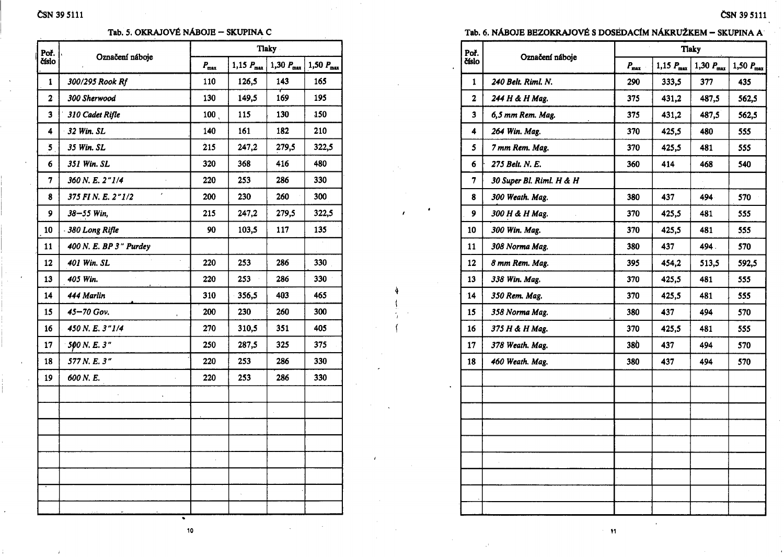#### Tab. 5. OKRAJOVÉ NÁBOJE – SKUPINA C

| Poř.                    | Označení náboje                    |                  |                       | <b>Tlaky</b>          |                       |
|-------------------------|------------------------------------|------------------|-----------------------|-----------------------|-----------------------|
| číslo                   |                                    | $P_{\text{max}}$ | 1,15 $P_{\text{max}}$ | 1,30 $P_{\text{max}}$ | 1,50 $P_{\text{max}}$ |
| 1                       | 300/295 Rook Rf                    | 110              | 126,5                 | 143                   | 165                   |
| $\overline{\mathbf{2}}$ | 300 Sherwood                       | 130              | 149,5                 | 169                   | 195                   |
| 3                       | 310 Cadet Rifle                    | 100 <sub>1</sub> | 115                   | 130                   | 150                   |
| 4                       | 32 Win. SL                         | 140              | 161                   | 182                   | 210                   |
| 5                       | 35 Win. SL                         | 215              | 247,2                 | 279,5                 | 322,5                 |
| 6                       | 351 Win. SL                        | 320              | 368                   | 416                   | 480                   |
| 7                       | 360 N.E. 2"1/4                     | 220              | 253                   | 286                   | 330                   |
| 8                       | $\pmb{\cdot}$<br>375 FIN. E. 2"1/2 | 200              | 230                   | 260                   | 300                   |
| 9                       | 38-55 Win,                         | 215              | 247,2                 | 279,5                 | 322,5                 |
| 10                      | 380 Long Rifle                     | 90               | 103,5                 | 117                   | 135                   |
| 11                      | 400 N. E. BP 3" Purdey             |                  |                       |                       |                       |
| 12                      | 401 Win. SL                        | 220              | 253                   | 286                   | 330                   |
| 13                      | 405 Win.                           | 220              | 253                   | 286                   | 330                   |
| 14                      | 444 Marlin                         | 310              | 356,5                 | 403                   | 465                   |
| 15                      | 45-70 Gov.                         | 200              | 230                   | 260                   | 300                   |
| 16                      | 450 N.E. 3"1/4                     | 270              | 310,5                 | 351                   | 405                   |
| 17                      | 500 N.E. 3"                        | 250              | 287,5                 | 325                   | 375                   |
| 18                      | 577 N.E. 3"                        | 220              | 253                   | 286                   | 330                   |
| 19                      | 600 N.E.                           | 220              | 253                   | 286                   | 330                   |
|                         |                                    |                  |                       |                       |                       |
|                         |                                    |                  |                       |                       |                       |
|                         |                                    |                  |                       |                       |                       |
|                         |                                    |                  |                       |                       |                       |
|                         |                                    |                  |                       |                       |                       |
|                         |                                    |                  |                       |                       |                       |
|                         |                                    | $\epsilon$       |                       |                       |                       |
|                         |                                    |                  |                       |                       |                       |

Tab. 6. NÁBOJE BEZOKRAJOVÉ S DOSEDACÍM NÁKRUŽKEM – SKUPINA A

|                          | <b>Tlaky</b>    |                         |                       |                       |  |
|--------------------------|-----------------|-------------------------|-----------------------|-----------------------|--|
|                          | $P_{\rm max}$   | $1,15$ $P_{\text{max}}$ | $1,30 P_{\text{max}}$ | $1,50 P_{\text{max}}$ |  |
| 240 Belt. Riml. N.       | 290             | 333,5                   | 377                   | 435                   |  |
| 244 H & H Mag.           | 375             | 431,2                   | 487,5                 | 562,5                 |  |
| 6,5 mm Rem. Mag.         | 375             | 431,2                   | 487,5                 | 562,5                 |  |
| 264 Win. Mag.            | 370             | 425,5                   | 480                   | 555                   |  |
| 7 mm Rem. Mag.           | 370             | 425,5                   | 481                   | 555                   |  |
| 275 Belt. N. E.          | 360             | 414                     | 468                   | 540                   |  |
| 30 Super Bl. Riml. H & H |                 |                         |                       |                       |  |
| 300 Weath. Mag.          | 380             | 437                     | 494                   | 570                   |  |
| 300 H & H Mag.           | 370             | 425,5                   | 481                   | 555                   |  |
| 300 Win. Mag.            | 370             | 425,5                   | 481                   | 555                   |  |
| 308 Norma Mag.           | 380             | 437                     | 494.                  | 570                   |  |
| 8 mm Rem. Mag.           | 395             | 454,2                   | 513,5                 | 592,5                 |  |
| 338 Win. Mag.            | 370             | 425,5                   | 481                   | 555                   |  |
| 350 Rem. Mag.            | 370             | 425,5                   | 481                   | 555                   |  |
| 358 Norma Mag.           | 380             | 437                     | 494                   | 570                   |  |
| 375 H & H Mag.           | 370             | 425,5                   | 481                   | 555                   |  |
| 378 Weath. Mag.          | 380             | 437                     | 494                   | 570                   |  |
| 460 Weath. Mag.          | 380             | 437                     | 494                   | 570                   |  |
|                          |                 |                         |                       |                       |  |
|                          |                 |                         |                       |                       |  |
|                          |                 |                         |                       |                       |  |
|                          |                 |                         |                       |                       |  |
|                          |                 |                         |                       |                       |  |
|                          |                 |                         |                       |                       |  |
|                          |                 |                         |                       |                       |  |
|                          | Označení náboje |                         |                       |                       |  |

10

 $\sim$  11

D.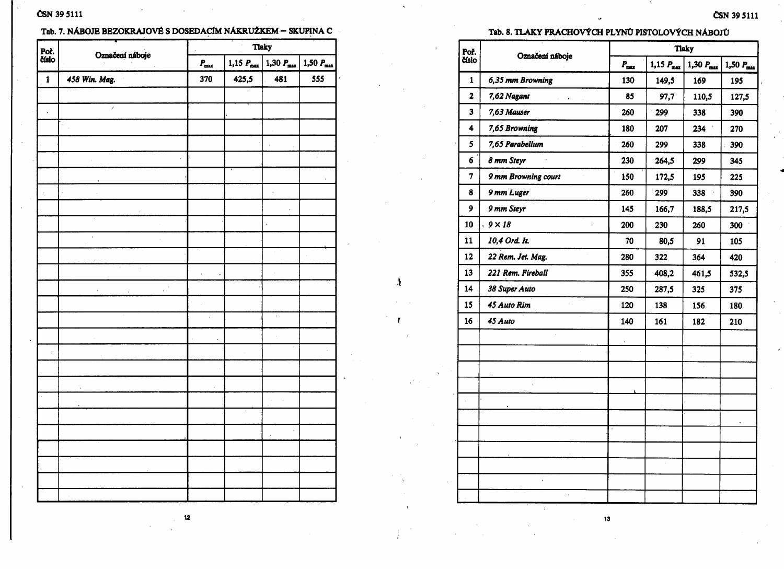## ČSN 39 5111

## Tab. 7. NÁBOJE BEZOKRAJOVÉ S DOSEDACÍM NÁKRUŽKEM – SKUPINA C

| Poř.<br>číslo | Označení náboje            | <b>Tlaky</b><br>$\epsilon$ |                       |                      |     |  |
|---------------|----------------------------|----------------------------|-----------------------|----------------------|-----|--|
|               |                            | $\textit{P}_{\max}$        | 1,50 $P_{\text{max}}$ |                      |     |  |
| $\mathbf{1}$  | 458 Win. Mag.              | 370                        | 425,5                 | 481                  | 555 |  |
|               |                            |                            |                       |                      |     |  |
| l,            | Ž                          |                            |                       |                      |     |  |
|               |                            |                            |                       | ł,                   |     |  |
|               |                            |                            |                       | ï                    |     |  |
|               |                            |                            |                       |                      |     |  |
|               |                            |                            |                       |                      |     |  |
|               |                            |                            |                       | ł,                   |     |  |
|               |                            |                            |                       |                      |     |  |
|               |                            |                            |                       | $\ddot{\phantom{0}}$ |     |  |
|               | y.<br>$\ddot{\phantom{1}}$ |                            |                       | à.                   |     |  |
|               |                            |                            |                       |                      |     |  |
|               | l,                         | y.<br>$\epsilon$           |                       | ł,                   |     |  |
|               | $\mathbb{R}^3$<br>l,       |                            |                       |                      |     |  |
|               |                            | à.                         |                       |                      |     |  |
|               |                            | $\ddot{\phantom{0}}$       |                       | à,                   |     |  |
|               |                            |                            |                       |                      |     |  |
| $\cdot$       |                            |                            |                       |                      |     |  |
|               |                            |                            |                       |                      |     |  |
|               | $\cdot$                    | ,                          |                       |                      |     |  |
|               | $\lambda$                  |                            |                       | $\hat{\mathcal{L}}$  |     |  |
|               |                            |                            |                       |                      |     |  |
|               |                            |                            |                       | l,<br>ŕ              |     |  |
|               |                            |                            |                       |                      |     |  |
|               |                            |                            |                       |                      |     |  |
|               |                            |                            |                       |                      |     |  |
|               |                            |                            |                       |                      |     |  |

## Tab. 8. TLAKY PRACHOVÝCH PLYNŮ PISTOLOVÝCH NÁBOJŮ

ČSN 39 5111

| Poř.            | Označení náboje     | <b>Tlaky</b> |                |                |                |  |
|-----------------|---------------------|--------------|----------------|----------------|----------------|--|
| číslo           |                     | $P_{\max}$   | $1,15 P_{max}$ | $1,30 P_{max}$ | $1,50 P_{max}$ |  |
| 1               | 6,35 mm Browning    | 130          | 149,5          | 169            | 195            |  |
| 2               | 7,62 Nagant         | 85           | 97,7           | 110,5          | 127,5          |  |
| 3               | 7,63 Mauser         | 260          | 299            | 338            | 390            |  |
| 4               | 7,65 Browning       | 180          | 207            | 234            | 270            |  |
| 5               | 7,65 Parabellum     | 260          | 299            | 338            | 390            |  |
| 6               | 8 mm Steyr          | 230          | 264,5          | 299            | 345            |  |
| 7               | 9 mm Browning court | 150          | 172,5          | 195            | 225            |  |
| 8               | 9 mm Luger          | 260          | 299            | 338            | 390            |  |
| 9               | 9 mm Steyr          | 145          | 166,7          | 188,5          | 217,5          |  |
| 10              | $9 \times 18$       | 200          | 230            | 260            | 300            |  |
| $\overline{11}$ | 10,4 Ord. It.       | 70           | 80,5           | 91             | 105            |  |
| 12              | 22 Rem. Jet. Mag.   | 280          | 322            | 364            | 420            |  |
| 13              | 221 Rem. Fireball   | 355          | 408,2          | 461,5          | 532,5          |  |
| 14              | 38 Super Auto       | 250          | 287,5          | 325            | 375            |  |
| 15              | 45 Auto Rim         | 120          | 138            | 156            | 180            |  |
| 16              | 45 Auto             | 140          | 161            | 182            | 210            |  |
|                 |                     | Ŷ.           |                |                |                |  |
|                 |                     |              |                |                |                |  |
|                 |                     |              |                |                |                |  |
|                 |                     |              |                |                |                |  |
|                 |                     |              |                |                |                |  |
|                 |                     |              |                |                |                |  |
|                 |                     |              |                |                |                |  |
|                 |                     |              |                |                |                |  |

 $13$ 

 $12$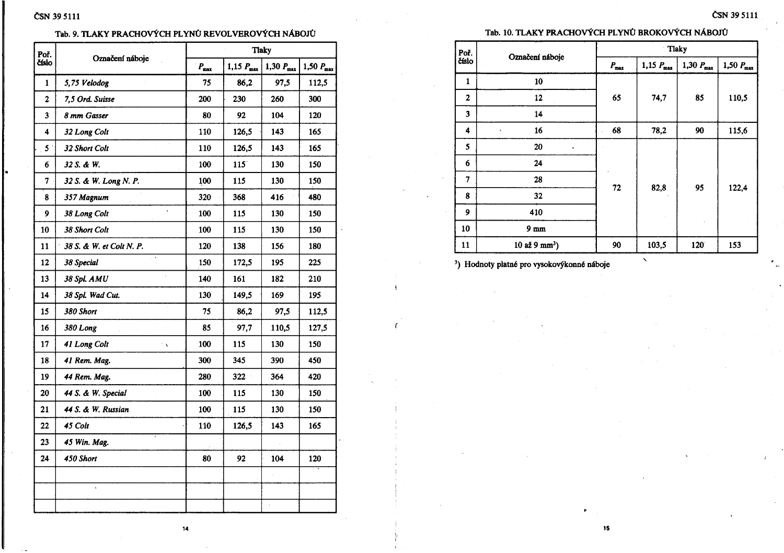#### Tab. 9. TLAKY PRACHOVÝCH PLYNŮ REVOLVEROVÝCH NÁBOJŮ

| Poř.<br>číslo  | Označení náboje                       | <b>Tlaky</b>  |                       |                       |                       |  |  |
|----------------|---------------------------------------|---------------|-----------------------|-----------------------|-----------------------|--|--|
|                |                                       | $P_{\rm max}$ | 1,15 $P_{\text{max}}$ | 1,30 $P_{\text{max}}$ | $1,50 P_{\text{max}}$ |  |  |
| 1              | 5,75 Velodog                          | 75            | 97,5<br>86,2          |                       | 112,5                 |  |  |
| $\mathbf{2}$   | 7,5 Ord. Suisse                       | 200           | 230                   | 260                   | 300                   |  |  |
| 3              | 8 mm Gasser                           | 80            | 92                    | 104                   | 120                   |  |  |
| 4              | 32 Long Colt                          | 110           | 126,5                 | 143                   | 165                   |  |  |
| 5 <sup>1</sup> | 32 Short Colt                         | 110           | 126,5                 | 143                   | 165                   |  |  |
| 6              | 32 S. & W.                            | 100           | 115                   | 130                   |                       |  |  |
| 7              | 32 S. & W. Long N. P.                 | 100           | 115<br>130            |                       | 150                   |  |  |
| 8              | 357 Magnum                            | 320           | 368<br>416            |                       | 480                   |  |  |
| 9              | 38 Long Colt                          | 100           | 115                   | 130                   | 150                   |  |  |
| 10             | 38 Short Colt                         | 100           | 115                   | 130                   | 150                   |  |  |
| 11             | 38 S. & W. et Colt N. P.              | 120           | 138                   | 156                   | 180                   |  |  |
| 12             | $\mathcal{L}$<br>38 Special           | 150           | 172,5                 | 195                   | 225                   |  |  |
| 13             | 38 Spl. AMU                           | 140           | 161                   | 182                   | 210                   |  |  |
| 14             | 38 Spl. Wad Cut.                      | 130           | 149,5                 | 169                   | 195                   |  |  |
| 15             | 380 Short                             | 75            | 86,2                  | 97,5                  | 112,5                 |  |  |
| 16             | 380 Long                              | 85            | 97,7<br>110,5         |                       | 127,5                 |  |  |
| 17             | 41 Long Colt<br>$^{\prime}$ $\lambda$ | 100           | 115                   | 130                   | 150                   |  |  |
| 18             | 41 Rem. Mag.                          | 300           | 345                   | 390                   | 450                   |  |  |
| 19             | 44 Rem. Mag.                          | 280           | 322                   | 364                   | 420                   |  |  |
| 20             | 44 S. & W. Special                    | 100           | 115                   | 130                   | 150                   |  |  |
| 21             | 44 S. & W. Russian                    | 100           | 115<br>130            |                       | 150                   |  |  |
| 22             | 45 Colt                               | 110           | 126,5                 | 143                   | 165                   |  |  |
| 23             | 45 Win. Mag.                          |               |                       |                       |                       |  |  |
| 24             | 450 Short                             | 80            | 92                    | 104                   | 120                   |  |  |
|                |                                       |               |                       |                       |                       |  |  |
|                | $\bar{\mathbf{v}}$                    |               |                       |                       |                       |  |  |
|                |                                       |               |                       |                       |                       |  |  |

### Tab. 10. TLAKY PRACHOVÝCH PLYNŮ BROKOVÝCH NÁBOJŮ

ČSN 39 5111

| Poř.                    | Označení náboje             |                  | Tlaky                 |                       |                       |  |  |  |
|-------------------------|-----------------------------|------------------|-----------------------|-----------------------|-----------------------|--|--|--|
| číslo                   |                             | $P_{\text{max}}$ | 1,15 $P_{\text{max}}$ | 1,30 $P_{\text{max}}$ | 1,50 $P_{\text{max}}$ |  |  |  |
| $\mathbf{1}$            | 10                          |                  | 74,7                  | 85<br>90              | 110,5<br>115,6        |  |  |  |
| $\overline{2}$          | 12                          | 65               |                       |                       |                       |  |  |  |
| 3                       | 14                          |                  |                       |                       |                       |  |  |  |
| $\overline{\mathbf{4}}$ | 16<br>$\hat{\phantom{a}}$   | 68               | 78,2                  |                       |                       |  |  |  |
| 5                       | 20<br>$\ddot{\phantom{0}}$  |                  |                       | 95                    | 122,4                 |  |  |  |
| 6                       | 24                          |                  |                       |                       |                       |  |  |  |
| 7                       | 28                          |                  |                       |                       |                       |  |  |  |
| 8                       | 32                          | 72               | 82,8                  |                       |                       |  |  |  |
| 9                       | 410                         |                  |                       |                       |                       |  |  |  |
| 10                      | $9 \text{ mm}$              |                  |                       |                       |                       |  |  |  |
| 11                      | $10$ až 9 mm <sup>3</sup> ) | 90               | 103,5                 | 120                   | 153                   |  |  |  |

15

 $\propto$ 

<sup>3</sup>) Hodnoty platné pro vysokovýkonné náboje